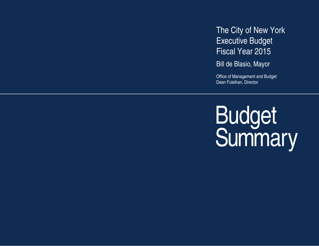The City of New York Executive Budget Fiscal Year 2015

Bill de Blasio, Mayor

Office of Management and Budget Dean Fuleihan, Director

Budget<br>Summary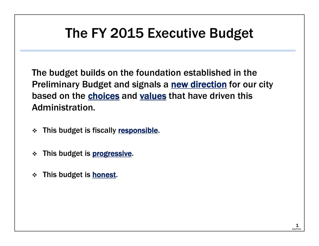# The FY 2015 Executive Budget

The budget builds on the foundation established in the Preliminary Budget and signals a new direction for our city based on the choices and values that have driven this Administration.

- $\mathbf{v}_i^{\bullet}$ This budget is fiscally responsible.
- $\frac{1}{2}$ This budget is **progressive**.
- $\frac{1}{2}$ This budget is **honest**.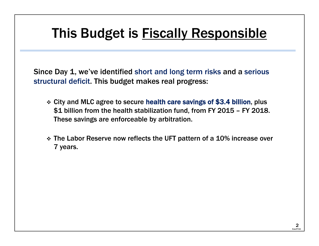## This Budget is **Fiscally Responsible**

Since Day 1, we've identified short and long term risks and a serious structural deficit. This budget makes real progress:

- City and MLC agree to secure health care savings of \$3.4 billion, plus \$1 billion from the health stabilization fund, from FY 2015 – FY 2018. These savings are enforceable by arbitration.
- The Labor Reserve now reflects the UFT pattern of a 10% increase over 7 years.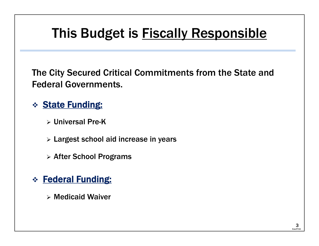# This Budget is **Fiscally Responsible**

The City Secured Critical Commitments from the State and Federal Governments.

#### \* State Funding:

- Universal Pre-K
- Largest school aid increase in years
- > After School Programs
- \* Federal Funding:
	- Medicaid Waiver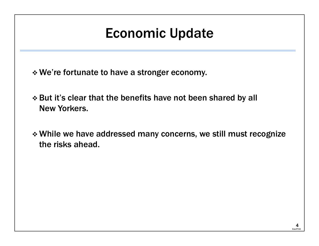## Economic Update

- We're fortunate to have a stronger economy.
- But it's clear that the benefits have not been shared by all New Yorkers.
- While we have addressed many concerns, we still must recognize the risks ahead.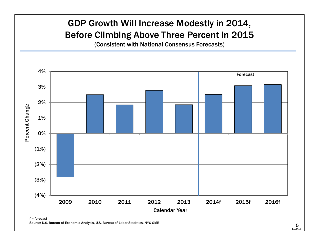#### GDP Growth Will Increase Modestly in 2014, Before Climbing Above Three Percent in 2015 (Consistent with National Consensus Forecasts) 4%Forecast3%2%Percent Change Percent Change 1%0% $(1%)$ (2%) (3%) (4%) 2009 2010 2011 2012 2013 2014f 2015f 2016fCalendar Yearf = forecast

Source: U.S. Bureau of Economic Analysis, U.S. Bureau of Labor Statistics, NYC OMB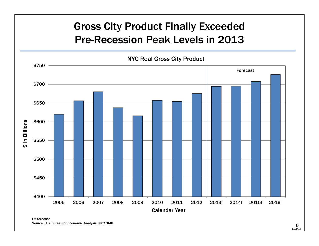### Gross City Product Finally Exceeded Pre-Recession Peak Levels in 2013

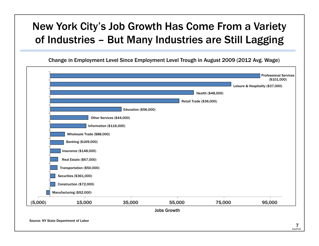### New York City's Job Growth Has Come From a Variety of Industries – But Many Industries are Still Lagging

Change in Employment Level Since Employment Level Trough in August 2009 (2012 Avg. Wage)

|         |                            |                             |                         | Health (\$48,000) | Leisure & Hospitality (\$37,000) |
|---------|----------------------------|-----------------------------|-------------------------|-------------------|----------------------------------|
|         |                            |                             | Retail Trade (\$36,000) |                   |                                  |
|         |                            | <b>Education (\$56,000)</b> |                         |                   |                                  |
|         |                            | Other Services (\$44,000)   |                         |                   |                                  |
|         | Information (\$116,000)    |                             |                         |                   |                                  |
|         | Wholesale Trade (\$88,000) |                             |                         |                   |                                  |
|         | Banking (\$169,000)        |                             |                         |                   |                                  |
|         | Insurance (\$148,000)      |                             |                         |                   |                                  |
|         | Real Estate (\$67,000)     |                             |                         |                   |                                  |
|         | Transportation (\$50,000)  |                             |                         |                   |                                  |
|         | Securities (\$361,000)     |                             |                         |                   |                                  |
|         | Construction (\$72,000)    |                             |                         |                   |                                  |
|         | Manufacturing (\$52,000)   |                             |                         |                   |                                  |
| (5,000) | 15,000                     | 35,000                      | 55,000                  | 75,000            | 95,000                           |
|         |                            |                             | <b>Jobs Growth</b>      |                   |                                  |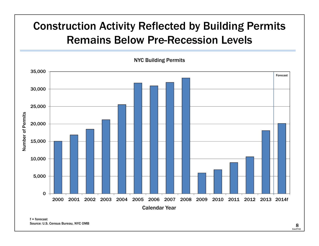## Construction Activity Reflected by Building Permits Remains Below Pre-Recession Levels

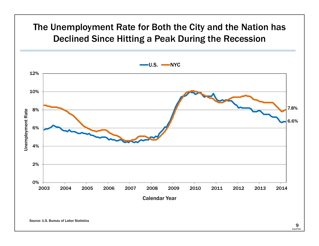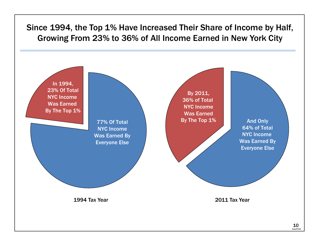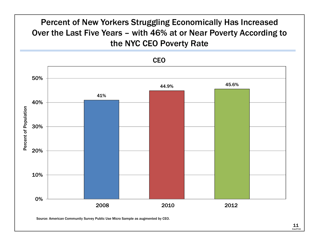

11 11ExecFY15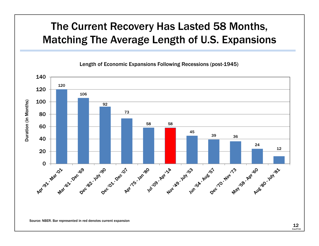## The Current Recovery Has Lasted 58 Months, Matching The Average Length of U.S. Expansions



Source: NBER. Bar represented in red denotes current expansion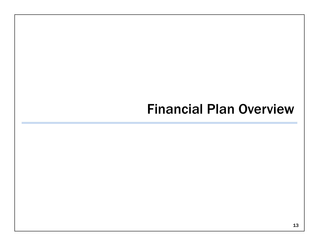## Financial Plan Overview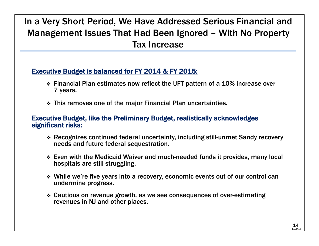#### In a Very Short Period, We Have Addressed Serious Financial and Management Issues That Had Been Ignored – With No Property Tax Increase

#### Executive Budget is balanced for FY 2014 & FY 2015:

- $\div$  Financial Plan estimates now reflect the UFT pattern of a 10% increase over 7 years.
- This removes one of the major Financial Plan uncertainties.

#### Executive Budget, like the Preliminary Budget, realistically acknowledges significant risks:

- Recognizes continued federal uncertainty, including still-unmet Sandy recovery needs and future federal sequestration.
- Even with the Medicaid Waiver and much-needed funds it provides, many local hospitals are still struggling.
- While we're five years into a recovery, economic events out of our control can undermine progress.
- Cautious on revenue growth, as we see consequences of over-estimating revenues in NJ and other places.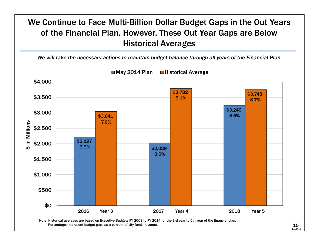

ExecFY15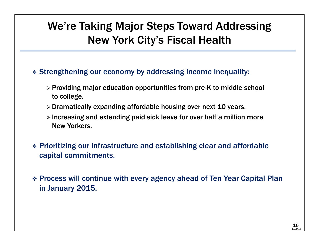## We're Taking Major Steps Toward Addressing New York City's Fiscal Health

- Strengthening our economy by addressing income inequality:
	- $\triangleright$  Providing major education opportunities from pre-K to middle school to college.
	- $\triangleright$  Dramatically expanding affordable housing over next 10 years.
	- $\triangleright$  Increasing and extending paid sick leave for over half a million more New Yorkers.
- Prioritizing our infrastructure and establishing clear and affordable capital commitments.
- Process will continue with every agency ahead of Ten Year Capital Plan in January 2015.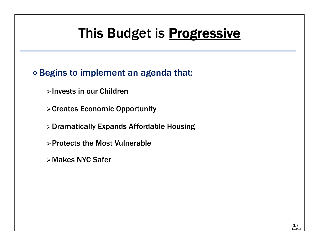# This Budget is **Progressive**

#### Begins to implement an agenda that:

- $\triangleright$  Invests in our Children
- Creates Economic Opportunity
- Dramatically Expands Affordable Housing
- $\triangleright$  Protects the Most Vulnerable
- Makes NYC Safer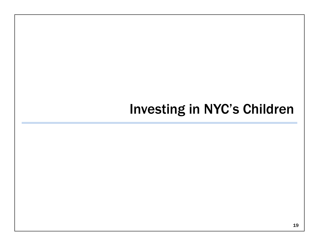## Investing in NYC's Children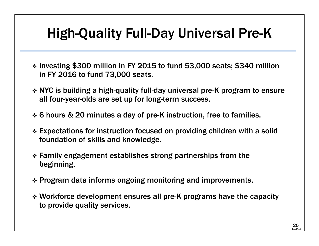# High-Quality Full-Day Universal Pre-K

- \* Investing \$300 million in FY 2015 to fund 53,000 seats; \$340 million in FY 2016 to fund 73,000 seats.
- NYC is building a high-quality full-day universal pre-K program to ensure all four-year-olds are set up for long-term success.
- 6 hours & 20 minutes a day of pre-K instruction, free to families.
- Expectations for instruction focused on providing children with a solid foundation of skills and knowledge.
- Family engagement establishes strong partnerships from the beginning.
- Program data informs ongoing monitoring and improvements.
- Workforce development ensures all pre-K programs have the capacity to provide quality services.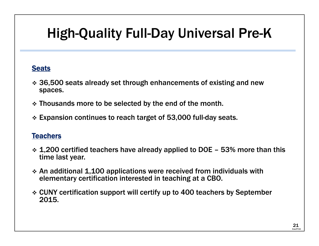# High-Quality Full-Day Universal Pre-K

#### **Seats**

- 36,500 seats already set through enhancements of existing and new spaces.
- Thousands more to be selected by the end of the month.
- Expansion continues to reach target of 53,000 full-day seats.

#### Teachers

- $\bm{\dot{*}}$  1,200 certified teachers have already applied to DOE 53% more than this time last year.
- $\bm{\dot{*}}$  An additional 1,100 applications were received from individuals with elementary certification interested in teaching at a CBO.
- CUNY certification support will certify up to 400 teachers by September 2015.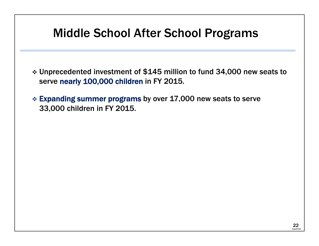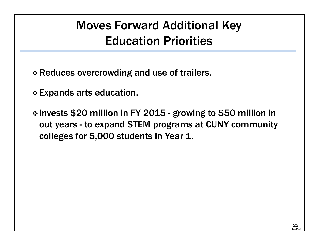## Moves Forward Additional Key Education Priorities

- Reduces overcrowding and use of trailers.
- Expands arts education.
- \* Invests \$20 million in FY 2015 growing to \$50 million in out years - to expand STEM programs at CUNY community colleges for 5,000 students in Year 1.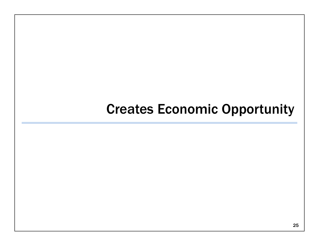## Creates Economic Opportunity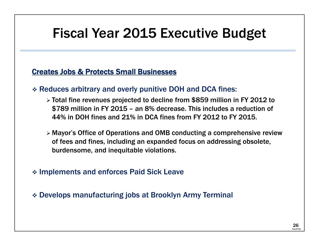## Fiscal Year 2015 Executive Budget

#### Creates Jobs & Protects Small Businesses

- Reduces arbitrary and overly punitive DOH and DCA fines:
	- Total fine revenues projected to decline from \$859 million in FY 2012 to \$789 million in FY 2015 – an 8% decrease. This includes a reduction of 44% in DOH fines and 21% in DCA fines from FY 2012 to FY 2015.
	- Mayor's Office of Operations and OMB conducting a comprehensive review of fees and fines, including an expanded focus on addressing obsolete, burdensome, and inequitable violations.
- Implements and enforces Paid Sick Leave
- Develops manufacturing jobs at Brooklyn Army Terminal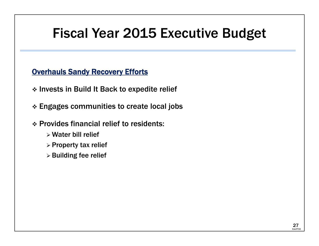## Fiscal Year 2015 Executive Budget

**Overhauls Sandy Recovery Efforts** 

\* Invests in Build It Back to expedite relief

 $\boldsymbol{\dot{\ast}}$  Engages communities to create local jobs

Provides financial relief to residents:

- Water bill relief
- $\triangleright$  Property tax relief
- $\triangleright$  Building fee relief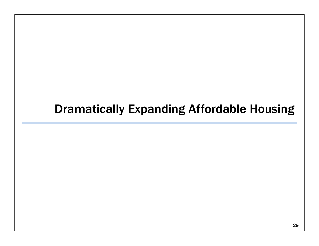## Dramatically Expanding Affordable Housing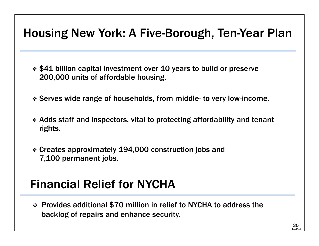## Housing New York: A Five-Borough, Ten-Year Plan

 \$41 billion capital investment over 10 years to build or preserve 200,000 units of affordable housing.

- Serves wide range of households, from middle- to very low-income.
- Adds staff and inspectors, vital to protecting affordability and tenant rights.
- Creates approximately 194,000 construction jobs and 7,100 permanent jobs.

## Financial Relief for NYCHA

 Provides additional \$70 million in relief to NYCHA to address the backlog of repairs and enhance security.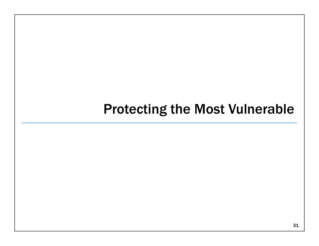## Protecting the Most Vulnerable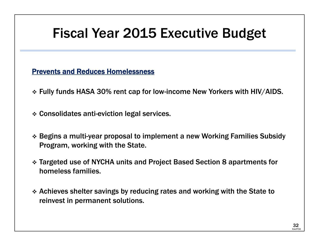# Fiscal Year 2015 Executive Budget

Prevents and Reduces Homelessness

- Fully funds HASA 30% rent cap for low-income New Yorkers with HIV/AIDS.
- Consolidates anti-eviction legal services.
- Begins a multi-year proposal to implement a new Working Families Subsidy Program, working with the State.
- Targeted use of NYCHA units and Project Based Section 8 apartments for homeless families.
- Achieves shelter savings by reducing rates and working with the State to reinvest in permanent solutions.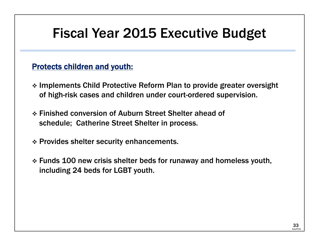## Fiscal Year 2015 Executive Budget

#### Protects children and youth:

- Implements Child Protective Reform Plan to provide greater oversight of high-risk cases and children under court-ordered supervision.
- Finished conversion of Auburn Street Shelter ahead of schedule; Catherine Street Shelter in process.
- Provides shelter security enhancements.
- Funds 100 new crisis shelter beds for runaway and homeless youth, including 24 beds for LGBT youth.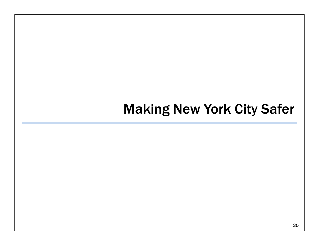## Making New York City Safer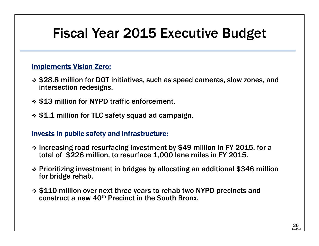# Fiscal Year 2015 Executive Budget

#### Implements Vision Zero:

- \$28.8 million for DOT initiatives, such as speed cameras, slow zones, and intersection redesigns.
- \$13 million for NYPD traffic enforcement.
- \$1.1 million for TLC safety squad ad campaign.

#### Invests in public safety and infrastructure:

- Increasing road resurfacing investment by \$49 million in FY 2015, for a total of \$226 million, to resurface 1,000 lane miles in FY 2015.
- Prioritizing investment in bridges by allocating an additional \$346 million for bridge rehab.
- ❖ \$110 million over next three years to rehab two NYPD precincts and construct a new 40th Precinct in the South Bronx.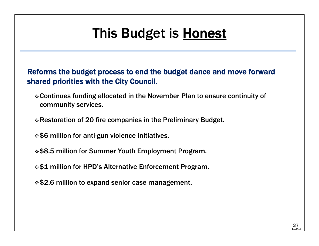# This Budget is Honest

Reforms the budget process to end the budget dance and move forward shared priorities with the City Council.

Continues funding allocated in the November Plan to ensure continuity of community services.

Restoration of 20 fire companies in the Preliminary Budget.

- $\div$  \$6 million for anti-gun violence initiatives.
- \$8.5 million for Summer Youth Employment Program.
- **\*\$1 million for HPD's Alternative Enforcement Program.**
- \$2.6 million to expand senior case management.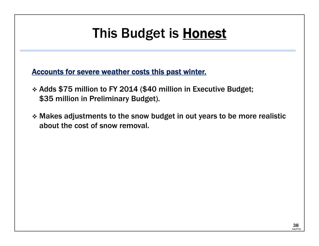# This Budget is Honest

Accounts for severe weather costs this past winter.

- Adds \$75 million to FY 2014 (\$40 million in Executive Budget; \$35 million in Preliminary Budget).
- $\bm{\dot{*}}$  Makes adjustments to the snow budget in out years to be more realistic about the cost of snow removal.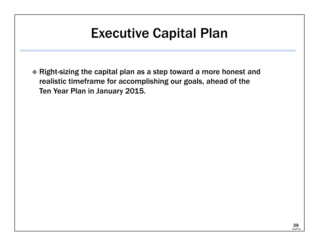## Executive Capital Plan

 $\bm{\cdot}$  Right-sizing the capital plan as a step toward a more honest and realistic timeframe for accomplishing our goals, ahead of the Ten Year Plan in January 2015.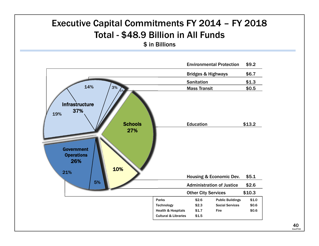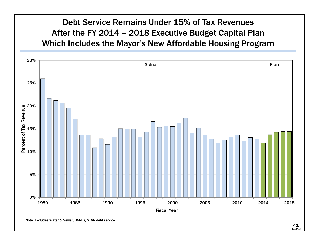#### Debt Service Remains Under 15% of Tax Revenues After the FY 2014 – 2018 Executive Budget Capital Plan Which Includes the Mayor's New Affordable Housing Program

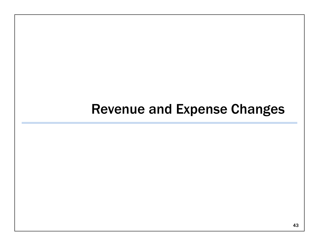## Revenue and Expense Changes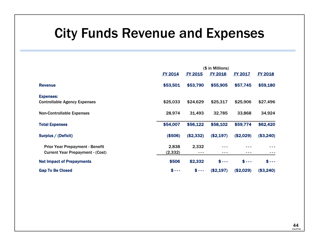## City Funds Revenue and Expenses

|                                         |                |                | (\$ in Millions)  |                |                |
|-----------------------------------------|----------------|----------------|-------------------|----------------|----------------|
|                                         | <b>FY 2014</b> | <b>FY 2015</b> | <b>FY 2016</b>    | <b>FY 2017</b> | <b>FY 2018</b> |
| <b>Revenue</b>                          | \$53,501       | \$53,790       | \$55,905          | \$57,745       | \$59,180       |
| <b>Expenses:</b>                        |                |                |                   |                |                |
| <b>Controllable Agency Expenses</b>     | \$25,033       | \$24,629       | \$25,317          | \$25,906       | \$27,496       |
| <b>Non-Controllable Expenses</b>        | 28,974         | 31,493         | 32,785            | 33,868         | 34,924         |
| <b>Total Expenses</b>                   | \$54,007       | \$56,122       | \$58,102          | \$59,774       | \$62,420       |
| Surplus / (Deficit)                     | (\$506)        | (\$2,332)      | (\$2,197)         | (\$2,029)      | (\$3,240)      |
| <b>Prior Year Prepayment - Benefit</b>  | 2,838          | 2,332          |                   |                |                |
| <b>Current Year Prepayment - (Cost)</b> | (2, 332)       | ---            | ---               |                |                |
| <b>Net Impact of Prepayments</b>        | \$506          | \$2,332        | $S \rightarrow -$ | $$---$         | $$ --$         |
| <b>Gap To Be Closed</b>                 | $$---$         | $$---$         | (\$2,197)         | (\$2,029)      | (\$3,240)      |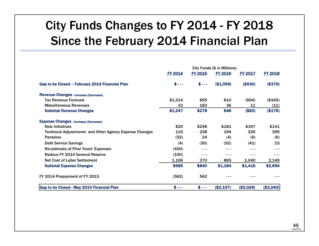## City Funds Changes to FY 2014 - FY 2018 Since the February 2014 Financial Plan

|                                                               | City Funds (\$ in Millions) |         |                |           |                |  |  |
|---------------------------------------------------------------|-----------------------------|---------|----------------|-----------|----------------|--|--|
|                                                               | FY 2014                     | FY 2015 | <b>FY 2016</b> | FY 2017   | <b>FY 2018</b> |  |  |
| Gap to be Closed - February 2014 Financial Plan               | $$---$                      | $$---$  | (\$1,059)      | (\$530)   | (\$370)        |  |  |
| <b>Revenue Changes - Increase/(Decrease)</b>                  |                             |         |                |           |                |  |  |
| <b>Tax Revenue Forecast</b>                                   | \$1,214                     | \$95    | \$10           | (\$94)    | (\$165)        |  |  |
| <b>Miscellaneous Revenues</b>                                 | 33                          | 183     | 36             | 11        | (11)           |  |  |
| <b>Subtotal Revenue Changes</b>                               | \$1,247                     | \$278   | \$46           | (\$83)    | (\$176)        |  |  |
| <b>Expense Changes - Increase/(Decrease)</b>                  |                             |         |                |           |                |  |  |
| <b>New Initiatives</b>                                        | \$20                        | \$248   | \$181          | \$197     | \$141          |  |  |
| <b>Technical Adjustments and Other Agency Expense Changes</b> | 115                         | 228     | 194            | 226       | 395            |  |  |
| <b>Pensions</b>                                               | (52)                        | 24      | (4)            | (6)       | (6)            |  |  |
| <b>Debt Service Savings</b>                                   | (4)                         | (30)    | (52)           | (41)      | 15             |  |  |
| <b>Re-estimate of Prior Years' Expenses</b>                   | (400)                       | ---     | ---            |           |                |  |  |
| <b>Reduce FY 2014 General Reserve</b>                         | (100)                       | ---     | ---            | ---       | ---            |  |  |
| <b>Net Cost of Labor Settlement</b>                           | 1,106                       | 370     | 865            | 1,040     | 2,149          |  |  |
| <b>Subtotal Expense Changes</b>                               | \$685                       | \$840   | \$1,184        | \$1,416   | \$2,694        |  |  |
| FY 2014 Prepayment of FY 2015                                 | (562)                       | 562     |                |           |                |  |  |
| <b>Gap to be Closed - May 2014 Financial Plan</b>             | $$---$                      | $$ --$  | (\$2,197)      | (\$2,029) | ( \$3, 240]    |  |  |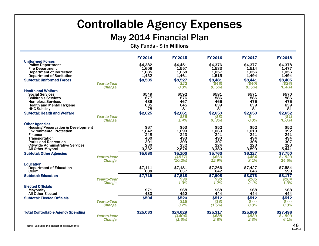### Controllable Agency Expenses

#### May 2014 Financial Plan

City Funds - \$ in Millions

|                                                                                                                                                                                                                                                     |                                | <b>FY 2014</b>                                     | <b>FY 2015</b>                                     | <b>FY 2016</b>                                     | <b>FY 2017</b>                                     | <b>FY 2018</b>                                   |
|-----------------------------------------------------------------------------------------------------------------------------------------------------------------------------------------------------------------------------------------------------|--------------------------------|----------------------------------------------------|----------------------------------------------------|----------------------------------------------------|----------------------------------------------------|--------------------------------------------------|
| <b>Uniformed Forces</b><br><b>Police Department</b><br><b>Fire Department</b><br><b>Department of Correction</b><br><b>Department of Sanitation</b>                                                                                                 |                                | \$4,382<br>1,606<br>1,085<br>1,432                 | \$4,451<br>1,557<br>1,058<br>1,461                 | \$4,376<br>1,533<br>1,057<br>1,515                 | \$4,377<br>1,514<br>1,056<br>1,494                 | \$4,378<br>1,477<br>1,056<br>1,494               |
| <b>Subtotal: Uniformed Forces</b>                                                                                                                                                                                                                   | <b>Year-to-Year</b><br>Change: | \$8,505                                            | \$8,527<br>\$22<br>0.3%                            | \$8,481<br>( \$46)<br>$(0.5\%)$                    | \$8,441<br>(\$40)<br>$(0.5\%)$                     | \$8,405<br>$($ \$36)<br>$(0.4\%)$                |
| <b>Health and Welfare</b><br><b>Social Services</b><br><b>Children's Services</b><br><b>Homeless Services</b><br><b>Health and Mental Hygiene</b><br><b>HHC Subsidy</b>                                                                             |                                | \$549<br>877<br>486<br>635<br>78                   | \$592<br>876<br>467<br>645<br>81                   | \$581<br>886<br>466<br>639<br>81                   | \$571<br>886<br>476<br>639<br>81                   | \$570<br>886<br>476<br>639<br>81                 |
| <b>Subtotal: Health and Welfare</b>                                                                                                                                                                                                                 | <b>Year-to-Year</b><br>Change: | \$2,625                                            | \$2,661<br>\$36<br>1.4%                            | \$2,653<br>(\$8)<br>$(0.3\%)$                      | \$2,653<br>s - - -<br>0.0%                         | \$2,652<br>$(6.0\%)$                             |
| <b>Other Agencies</b><br><b>Housing Preservation &amp; Development</b><br><b>Environmental Protection</b><br><b>Finance</b><br><b>Transportation</b><br><b>Parks and Recreation</b><br><b>Citywide Administrative Services</b><br>All Other Mayoral |                                | \$67<br>1,042<br>248<br>460<br>301<br>230<br>3,332 | \$53<br>1,099<br>243<br>493<br>309<br>232<br>2,674 | \$52<br>1,069<br>241<br>490<br>307<br>224<br>3,380 | \$52<br>1,010<br>241<br>494<br>308<br>223<br>3,899 | \$52<br>992<br>241<br>494<br>307<br>223<br>5,441 |
| <b>Subtotal: Other Agencies</b>                                                                                                                                                                                                                     | <b>Year-to-Year</b><br>Change: | \$5,680                                            | \$5,103<br>$($ \$577)<br>(10.2%)                   | \$5,763<br>\$660<br>12.9%                          | \$6,227<br>\$464<br>8.1%                           | \$7,750<br>\$1,523<br>24.5%                      |
| <b>Education</b><br><b>Department of Education</b><br><b>CUNY</b>                                                                                                                                                                                   |                                | \$7,111<br>608                                     | \$7,181<br>637                                     | \$7,266<br>642                                     | \$7,427<br>646                                     | \$7,584<br>593                                   |
| <b>Subtotal: Education</b>                                                                                                                                                                                                                          | <b>Year-to-Year</b><br>Change: | \$7,719                                            | \$7,818<br>\$99<br>1.3%                            | \$7,908<br>\$90<br>1.2%                            | \$8,073<br>\$165<br>2.1%                           | \$8,177<br>\$104<br>1.3%                         |
| <b>Elected Officials</b><br>Mayoralty<br><b>All Other Elected</b>                                                                                                                                                                                   |                                | \$71<br>433                                        | \$68<br>452                                        | \$68<br>444                                        | \$68<br>444                                        | \$68<br>444                                      |
| <b>Subtotal: Elected Officials</b>                                                                                                                                                                                                                  | <b>Year-to-Year</b><br>Change: | \$504                                              | \$520<br>\$16<br>3.2%                              | \$512<br>( \$8)<br>(1.5%)                          | \$512<br>$s - -$<br>0.0%                           | \$512<br>$s - -$<br>0.0%                         |
| <b>Total Controllable Agency Spending</b>                                                                                                                                                                                                           | <b>Year-to-Year</b><br>Change: | \$25,033                                           | \$24,629<br>(\$404)<br>(1.6%)                      | \$25,317<br>\$688<br>2.8%                          | \$25,906<br>\$589<br>2.3%                          | \$27,496<br>\$1,590<br>6.1%                      |
| Note: Excludes the impact of prepayments                                                                                                                                                                                                            |                                |                                                    |                                                    |                                                    |                                                    |                                                  |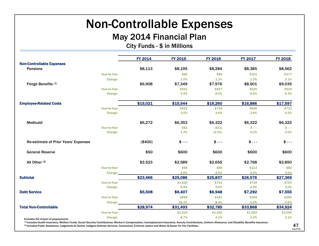## Non-Controllable Expenses

#### May 2014 Financial Plan

City Funds - \$ in Millions

|              | <b>FY 2014</b>                              | <b>FY 2015</b>                 | <b>FY 2016</b>                 | <b>FY 2017</b>      | <b>FY 2018</b>      |
|--------------|---------------------------------------------|--------------------------------|--------------------------------|---------------------|---------------------|
|              |                                             |                                |                                |                     |                     |
|              | \$8,113                                     | \$8,195                        | \$8,284                        | \$8,385             | \$8,562             |
| Year-to-Year |                                             | \$82                           | \$89                           | \$101               | \$177               |
| Change:      |                                             | 1.0%                           | 1.1%                           | 1.2%                | 2.1%                |
|              | \$6,908                                     | \$7,349                        | \$7,976                        | \$8,501             | \$9,035             |
| Year-to-Year |                                             | \$441                          | \$627                          | \$525               | \$534               |
| Change:      |                                             | 6.4%                           | 8.5%                           | 6.6%                | 6.3%                |
|              | \$15,021                                    | \$15,544                       | \$16,260                       | \$16,886            | \$17,597            |
| Year-to-Year |                                             | \$523                          | \$716                          | \$626               | \$711               |
| Change:      |                                             | 3.5%                           | 4.6%                           | 3.8%                | 4.2%                |
|              |                                             |                                | \$6,322                        | \$6,322             | \$6,322             |
| Year-to-Year |                                             | \$81                           | (\$31)                         | $$ - -$             | \$ - - -            |
| Change:      |                                             | 1.3%                           | $(0.5\%)$                      | 0.0%                | 0.0%                |
|              | (\$400)                                     | $$--$                          | $$ --$                         | $$ --$              | $$ - -$             |
|              | \$50                                        | \$600                          | \$600                          | \$600               | \$600               |
|              | \$2,523                                     | \$2,589                        | \$2,655                        | \$2,768             | \$2,850             |
| Year-to-Year |                                             | \$66                           | \$66                           | \$113               | \$82                |
| Change:      |                                             | 2.6%                           | 2.5%                           | 4.3%                | 3.0%                |
|              | \$23,466                                    | \$25,086                       | \$25,837                       | \$26,576            | \$27,369            |
| Year-to-Year |                                             | \$1,620                        | \$751                          | \$739               | \$793               |
| Change:      |                                             | 6.9%                           | 3.0%                           | 2.9%                | 3.0%                |
|              |                                             |                                |                                |                     | \$7,555             |
| Year-to-Year |                                             | \$899                          | \$541                          | \$344               | \$263               |
| Change:      |                                             | 16.3%                          | 8.4%                           | 5.0%                | 3.6%                |
|              |                                             |                                |                                |                     | \$34,924            |
| Year-to-Year |                                             | \$2,519                        | \$1,292                        | \$1,083             | \$1,056             |
| Change:      |                                             | 8.7%                           | 4.1%                           | 3.3%                | 3.1%                |
|              | <b>Re-estimate of Prior Years' Expenses</b> | \$6,272<br>\$5,508<br>\$28,974 | \$6,353<br>\$6,407<br>\$31,493 | \$6,948<br>\$32,785 | \$7,292<br>\$33,868 |

42 47ExecFY15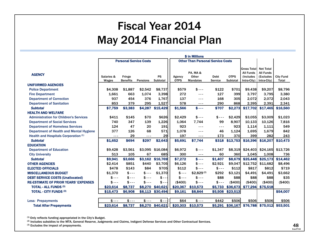### Fiscal Year 2014May 2014 Financial Plan

|                                               |               |                               |          |                  |             | \$ in Millions                           |                |             |                     |                   |                  |
|-----------------------------------------------|---------------|-------------------------------|----------|------------------|-------------|------------------------------------------|----------------|-------------|---------------------|-------------------|------------------|
|                                               |               | <b>Personal Service Costs</b> |          |                  |             | <b>Other Than Personal Service Costs</b> |                |             |                     |                   |                  |
|                                               |               |                               |          |                  |             |                                          |                |             | <b>Gross Totall</b> | <b>Net Total</b>  |                  |
|                                               |               |                               |          |                  |             | PA, MA&                                  |                |             | <b>All Funds</b>    | <b>All Funds</b>  |                  |
| <b>AGENCY</b>                                 | Salaries &    | Fringe                        |          | <b>PS</b>        | Agency      | Other                                    | <b>Debt</b>    | <b>OTPS</b> | (Includes           | (Excludes         | <b>City Fund</b> |
|                                               | Wages         | <b>Benefits</b>               | Pensions | Subtotal         | <b>OTPS</b> | <b>Mandates</b>                          | <b>Service</b> | Subtotal    | Intra-City)         | Intra-City)       | Total            |
| <b>UNIFORMED AGENCIES</b>                     |               |                               |          |                  |             |                                          |                |             |                     |                   |                  |
| <b>Police Department</b>                      | \$4,308       | \$1,887                       | \$2,542  | \$8,737          | \$579       | $$ --$                                   | \$122          | \$701       | \$9,438             | \$9,207           | \$8,796          |
| <b>Fire Department</b>                        | 1.661         | 663                           | 1.074    | 3,398            | 272         | $- - -$                                  | 127            | 399         | 3.797               | 3.795             | 3,380            |
| <b>Department of Correction</b>               | 937           | 454                           | 376      | 1,767            | 137         | $- - -$                                  | 168            | 305         | 2,072               | 2,072             | 2,043            |
| <b>Department of Sanitation</b>               | 853           | 379                           | 295      | 1.527            | 578         | $- - -$                                  | 290            | 868         | 2,395               | 2.391             | 2,341            |
| <b>Subtotal</b>                               | \$7,759       | \$3,383                       | \$4,287  | \$15,429         | \$1,566     | $$---$                                   | \$707          | \$2,273     | \$17,702            | \$17,465          | \$16,560         |
| <b>HEALTH AND WELFARE</b>                     |               |                               |          |                  |             |                                          |                |             |                     |                   |                  |
| <b>Administration for Children's Services</b> | \$411         | \$145                         | \$70     | \$626            | \$2,429     | $$ --$                                   | $$ --$         | \$2,429     | \$3.055             | \$3,009           | \$1,023          |
| <b>Department of Social Services</b>          | 740           | 347                           | 139      | 1.226            | 1,064       | 7.744                                    | 99             | 8,907       | 10,133              | 10,126            | 7,816            |
| <b>Department of Homeless Services</b>        | 124           | 47                            | 20       | 191              | 923         | ---                                      | $- - -$        | 923         | 1,114               | 1,111             | 549              |
| Department of Health and Mental Hygiene       | 377           | 126                           | 68       | 571              | 1.078       | $- - -$                                  | 46             | 1,124       | 1,695               | 1,679             | 842              |
| Health and Hospitals Corporation (1)          | $- - -$       | 29                            | $- - -$  | 29               | 197         | $- - -$                                  | 173            | 370         | 399                 | 282               | 243              |
| <b>Subtotal</b>                               | \$1,652       | \$694                         | \$297    | \$2,643          | \$5,691     | \$7,744                                  | \$318          | \$13,753    | \$16,396            | \$16,207          | \$10,473         |
| <b>EDUCATION</b>                              |               |                               |          |                  |             |                                          |                |             |                     |                   |                  |
| <b>Department of Education</b>                | \$9,428       | \$3,561                       |          | \$3,095 \$16,084 | \$6,972     | $$ --$                                   | \$1,347        | \$8,319     | \$24,403            | \$24,165          | \$13,726         |
| <b>City University</b>                        | 513           | 105                           | 67       | 685              | 300         | $- - -$                                  | 60             | 360         | 1,045               | 1,008             | 736              |
| <b>Subtotal</b>                               | \$9,941       | \$3,666                       | \$3,162  | \$16,769         | \$7,272     | $s - -$                                  | \$1,407        | \$8,679     | \$25,448            | \$25,173          | \$14,462         |
| <b>OTHER AGENCIES</b>                         | \$2,414       | \$851                         | \$440    | \$3,705          | \$6,126     | $$ --$                                   | \$2,921        | \$9,047     | \$12,752            | \$11,682          | \$8,496          |
| <b>ELECTED OFFICIALS</b>                      | \$478         | \$143                         | \$84     | \$705            | \$112       | $$ --$                                   | $$ --$         | \$112       | \$817               | \$812             | \$719            |
| <b>MISCELLANEOUS BUDGET</b>                   | \$1,370       | $s - -$                       | $$ --$   | \$1.370          | $s - -$     | \$2.829(2)                               | \$292          | \$3,121     | \$4,491             | \$4,491           | \$3,662          |
| <b>DEBT SERVICE COSTS (Unallocated)</b>       | \$<br>$- - -$ | $s - -$                       | $$ --$   | \$<br>$- -$      | $s - -$     | $$ --$                                   | \$88           | \$88        | \$88                | \$88              | \$35             |
| <b>RE-ESTIMATE OF PRIOR YEARS' EXPENSES</b>   | $$ --$        | $s - -$                       | $$ --$   | $$ - -$          | ( \$400)    | $$ --$                                   | $$ --$         | (\$400)     | (\$400)             | (\$400)           | ( \$400)         |
| <b>TOTAL - ALL FUNDS (3)</b>                  | \$23,614      | \$8,737                       | \$8,270  | \$40,621         | \$20,367    | \$10,573                                 | \$5,733        | \$36,673    | \$77,294            | \$75,518          |                  |
| <b>TOTAL - CITY FUNDS (3)</b>                 | \$15,473      | \$6,908                       | \$8,113  | \$30,494         | \$9,161     | \$8,844                                  | \$5,508        | \$23,513    |                     |                   | \$54,007         |
|                                               |               |                               |          |                  |             |                                          |                |             |                     |                   |                  |
| <b>Less: Prepayments</b>                      | $$ --$        | $$ --$                        | $$ --$   | $$ - -$          | \$64        | $$ --$                                   | \$442          | \$506       | \$506               | \$506             | \$506            |
| <b>Total After Prepayments</b>                | \$23,614      | \$8,737                       |          | \$8,270 \$40,621 | \$20,303    | \$10,573                                 | \$5,291        | \$36,167    |                     | \$76,788 \$75,012 | \$53,501         |

 $(1)$  Only reflects funding appropriated in the City's Budget.

(2) Includes subsidies to the MTA, General Reserve, Judgments and Claims, Indigent Defense Services and Other Contractual Services.

(3) Excludes the impact of prepayments.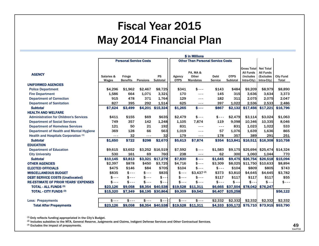### Fiscal Year 2015May 2014 Financial Plan

|                                               |            |                               |                 |                  |             | \$ in Millions                           |             |             |                                   |                                      |                  |
|-----------------------------------------------|------------|-------------------------------|-----------------|------------------|-------------|------------------------------------------|-------------|-------------|-----------------------------------|--------------------------------------|------------------|
|                                               |            | <b>Personal Service Costs</b> |                 |                  |             | <b>Other Than Personal Service Costs</b> |             |             |                                   |                                      |                  |
|                                               |            |                               |                 |                  |             |                                          |             |             |                                   |                                      |                  |
|                                               |            |                               |                 |                  |             | PA, MA&                                  |             |             | lGross Totall<br><b>All Funds</b> | <b>Net Total</b><br><b>All Funds</b> |                  |
| <b>AGENCY</b>                                 | Salaries & | Fringe                        |                 | <b>PS</b>        | Agency      | Other                                    | <b>Debt</b> | <b>OTPS</b> | (Includes                         | (Excludes                            | <b>City Fund</b> |
|                                               | Wages      | <b>Benefits</b>               | <b>Pensions</b> | <b>Subtotal</b>  | <b>OTPS</b> | <b>Mandates</b>                          | Service     | Subtotal    | Intra-City)                       | Intra-City)                          | <b>Total</b>     |
| <b>UNIFORMED AGENCIES</b>                     |            |                               |                 |                  |             |                                          |             |             |                                   |                                      |                  |
| <b>Police Department</b>                      | \$4,296    | \$1,962                       | \$2,467         | \$8,725          | \$341       | $$ --$                                   | \$143       | \$484       | \$9,209                           | \$8,979                              | \$8,890          |
| <b>Fire Department</b>                        | 1.586      | 664                           | 1,071           | 3,321            | 170         | $\frac{1}{2}$                            | 145         | 315         | 3.636                             | 3.634                                | 3,373            |
| <b>Department of Correction</b>               | 915        | 478                           | 371             | 1,764            | 129         | $- - -$                                  | 182         | 311         | 2,075                             | 2,075                                | 2,047            |
| <b>Department of Sanitation</b>               | 827        | 395                           | 292             | 1,514            | 625         | $- - -$                                  | 397         | 1.022       | 2,536                             | 2,533                                | 2,486            |
| <b>Subtotal</b>                               | \$7,624    | \$3,499                       |                 | \$4,201 \$15,324 | \$1,265     | $$---$                                   | \$867       | \$2,132     | \$17,456                          | \$17,221                             | \$16,796         |
| <b>HEALTH AND WELFARE</b>                     |            |                               |                 |                  |             |                                          |             |             |                                   |                                      |                  |
| <b>Administration for Children's Services</b> | \$411      | \$155                         | \$69            | \$635            | \$2,479     | $$ --$                                   | $$ --$      | \$2,479     | \$3,114                           | \$3,024                              | \$1,063          |
| <b>Department of Social Services</b>          | 749        | 357                           | 142             | 1,248            | 1,105       | 7,874                                    | 119         | 9.098       | 10,346                            | 10,335                               | 8,046            |
| <b>Department of Homeless Services</b>        | 121        | 50                            | 21              | 192              | 831         | $- - -$                                  | $- - -$     | 831         | 1,023                             | 1,022                                | 533              |
| Department of Health and Mental Hygiene       | 369        | 128                           | 66              | 563              | 1,019       | $- - -$                                  | 57          | 1,076       | 1,639                             | 1,636                                | 865              |
| Health and Hospitals Corporation (1)          | $- - -$    | 32                            | $- - -$         | 32               | 179         | $- - -$                                  | 178         | 357         | 389                               | 291                                  | 251              |
| <b>Subtotal</b>                               | \$1,650    | \$722                         | \$298           | \$2,670          | \$5,613     | \$7,874                                  | \$354       | \$13,841    | \$16,511                          | \$16,308                             | \$10,758         |
| <b>EDUCATION</b>                              |            |                               |                 |                  |             |                                          |             |             |                                   |                                      |                  |
| <b>Department of Education</b>                | \$9,615    | \$3,652                       |                 | \$3,252 \$16,519 | \$7,592     | $$ --$                                   | \$1,583     | \$9,175     | \$25,694                          | \$25,474                             | \$14,324         |
| <b>City University</b>                        | 530        | 161                           | 69              | 760              | 238         | $- - -$                                  | 62          | 300         | 1,060                             | 1,044                                | 770              |
| <b>Subtotal</b>                               | \$10,145   | \$3,813                       |                 | \$3,321 \$17,279 | \$7,830     | $S - - -$                                | \$1,645     | \$9,475     | \$26,754                          | \$26,518                             | \$15,094         |
| <b>OTHER AGENCIES</b>                         | \$2.397    | \$878                         | \$450           | \$3.725          | \$4.716     | $$ --$                                   | \$3.309     | \$8,025     | \$11,750                          | \$10,633                             | \$8,894          |
| <b>ELECTED OFFICIALS</b>                      | \$475      | \$146                         | \$84            | \$705            | \$104       | $$ --$                                   | $$ --$      | \$104       | \$809                             | \$805                                | \$743            |
| <b>MISCELLANEOUS BUDGET</b>                   | \$835      | $s - -$                       | $$ --$          | \$835            | $s - -$     | $$3,437^{(2)}$                           | \$373       | \$3,810     | \$4,645                           | \$4,645                              | \$3,782          |
| <b>DEBT SERVICE COSTS (Unallocated)</b>       | $$ --$     | $$ --$                        | $$ --$          | $$ - -$          | $$ --$      | $$ --$                                   | \$117       | \$117       | \$117                             | \$117                                | \$55             |
| <b>RE-ESTIMATE OF PRIOR YEARS' EXPENSES</b>   | $$ --$     | $s - -$                       | $s - -$         | $$ - -$          | $s - -$     | $$ --$                                   | $$ --$      | $$ - -$     | $$ -$                             | $$ - -$                              | $$ --$           |
| <b>TOTAL - ALL FUNDS (3)</b>                  | \$23,126   | \$9,058                       | \$8,354         | \$40,538         | \$19,528    | \$11,311                                 | \$6,665     |             | \$37,504 \$78,042                 | \$76,247                             |                  |
| <b>TOTAL - CITY FUNDS (3)</b>                 | \$15,320   | \$7,349                       |                 | \$8,195 \$30,864 | \$9,309     | \$9,542                                  | \$6,407     | \$25,258    |                                   |                                      | \$56,122         |
|                                               |            |                               |                 |                  |             |                                          |             |             |                                   |                                      |                  |
| <b>Less: Prepayments</b>                      | $$ --$     | $$ --$                        | $s - -$         | $$--$            | $$ --$      | $$ --$                                   | \$2.332     | \$2,332     | \$2.332                           | \$2.332                              | \$2,332          |
| <b>Total After Prepayments</b>                | \$23,126   | \$9,058                       |                 | \$8,354 \$40,538 | \$19,528    | \$11,311                                 | \$4,333     | \$35,172    |                                   | \$75,710 \$73,915                    | \$53,790         |

 $(1)$  Only reflects funding appropriated in the City's Budget.

(2) Includes subsidies to the MTA, General Reserve, Judgments and Claims, Indigent Defense Services and Other Contractual Services.

(3) Excludes the impact of prepayments.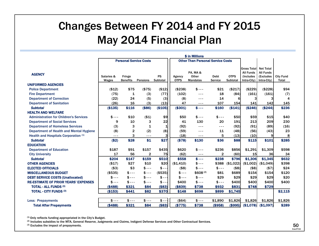### Changes Between FY 2014 and FY 2015 May 2014 Financial Plan

|                                               |               |                 |                               |              |             | \$ in Millions                           |               |             |                                                     |                                                   |                  |
|-----------------------------------------------|---------------|-----------------|-------------------------------|--------------|-------------|------------------------------------------|---------------|-------------|-----------------------------------------------------|---------------------------------------------------|------------------|
|                                               |               |                 | <b>Personal Service Costs</b> |              |             | <b>Other Than Personal Service Costs</b> |               |             |                                                     |                                                   |                  |
| <b>AGENCY</b>                                 | Salaries &    | Fringe          |                               | <b>PS</b>    | Agency      | PA. MA&<br>Other                         | Debt          | <b>OTPS</b> | <b>Gross Total</b><br><b>All Funds</b><br>(Includes | <b>Net Total</b><br><b>All Funds</b><br>(Excludes | <b>City Fund</b> |
|                                               | Wages         | <b>Benefits</b> | Pensions                      | Subtotal     | <b>OTPS</b> | <b>Mandates</b>                          | Service       | Subtotal    | Intra-City)                                         | Intra-City)                                       | Total            |
| <b>UNIFORMED AGENCIES</b>                     |               |                 |                               |              |             |                                          |               |             |                                                     |                                                   |                  |
| <b>Police Department</b>                      | (\$12)        | \$75            | ( \$75)                       | (\$12)       | ( \$238)    | $$ --$                                   | \$21          | (\$217)     | (\$229)                                             | (\$228)                                           | \$94             |
| <b>Fire Department</b>                        | (75)          | 1               | (3)                           | (77)         | (102)       | ---                                      | 18            | (84)        | (161)                                               | (161)                                             | (7)              |
| <b>Department of Correction</b>               | (22)          | 24              | (5)                           | (3)          | (8)         | $- - -$                                  | 14            | 6           |                                                     |                                                   | 4                |
| <b>Department of Sanitation</b>               | (26)          | 16              | (3)                           | (13)         | 47          | ---                                      | 107           | 154         | 141                                                 | 142                                               | 145              |
| <b>Subtotal</b>                               | (\$135)       | \$116           | (\$86)                        | (\$105)      | (\$301)     | $$---$                                   | \$160         | (\$141)     | (\$246)                                             | (\$244)                                           | \$236            |
| <b>HEALTH AND WELFARE</b>                     |               |                 |                               |              |             |                                          |               |             |                                                     |                                                   |                  |
| <b>Administration for Children's Services</b> | $$ --$        | \$10            | ( \$1)                        | \$9          | \$50        | $$ --$                                   | $$ --$        | \$50        | \$59                                                | \$15                                              | \$40             |
| <b>Department of Social Services</b>          | 9             | 10              | 3                             | 22           | 41          | 130                                      | 20            | 191         | 213                                                 | 209                                               | 230              |
| <b>Department of Homeless Services</b>        | (3)           | 3               | 1                             | $\mathbf{1}$ | (92)        | $- - -$                                  | $\frac{1}{2}$ | (92)        | (91)                                                | (89)                                              | (16)             |
| Department of Health and Mental Hygiene       | (8)           | 2               | (2)                           | (8)          | (59)        | ---                                      | 11            | (48)        | (56)                                                | (43)                                              | 23               |
| Health and Hospitals Corporation (1)          | $- - -$       | 3               | $- - -$                       |              | (18)        | $- - -$                                  | 5             | (13)        | (10)                                                | 9                                                 | 8                |
| <b>Subtotal</b>                               | (\$2)         | \$28            | \$1                           | \$27         | (\$78)      | \$130                                    | \$36          | \$88        | \$115                                               | \$101                                             | \$285            |
| <b>EDUCATION</b>                              |               |                 |                               |              |             |                                          |               |             |                                                     |                                                   |                  |
| <b>Department of Education</b>                | \$187         | \$91            | \$157                         | \$435        | \$620       | $$ --$                                   | \$236         | \$856       | \$1,291                                             | \$1,309                                           | \$598            |
| <b>City University</b>                        | 17            | 56              | 2                             | 75           | (62)        | $- - -$                                  | $\mathbf{2}$  | (60)        | 15                                                  | <b>36</b>                                         | 34               |
| <b>Subtotal</b>                               | \$204         | \$147           | \$159                         | \$510        | \$558       | $S - - -$                                | \$238         | \$796       | \$1,306                                             | \$1,345                                           | \$632            |
| <b>OTHER AGENCIES</b>                         | (\$17)        | \$27            | \$10                          | \$20         | (\$1,410)   | $$ --$                                   | \$388         | (\$1,022)   | (\$1,002)                                           | (\$1,049)                                         | \$398            |
| <b>ELECTED OFFICIALS</b>                      | ( \$3)        | \$3             | $$ --$                        | $$ -$        | $($ \$8)    | $$ --$                                   | $$ --$        | ( \$8)      | ( \$8)                                              | (57)                                              | \$24             |
| <b>MISCELLANEOUS BUDGET</b>                   | (\$535)       | $s - -$         | $$ --$                        | ( \$535)     | $$ --$      | $$608^{(2)}$                             | \$81          | \$689       | \$154                                               | \$154                                             | \$120            |
| <b>DEBT SERVICE COSTS (Unallocated)</b>       | \$<br>$- - -$ | $s - -$         | \$ - - -                      | \$           | $$ --$      | $$ --$                                   | \$29          | \$29        | \$29                                                | \$29                                              | \$20             |
| <b>RE-ESTIMATE OF PRIOR YEARS' EXPENSES</b>   | $$ --$        | $s - -$         | $$ --$                        | $$ - -$      | \$400       | $$ --$                                   | $s - -$       | \$400       | \$400                                               | \$400                                             | \$400            |
| <b>TOTAL - ALL FUNDS (3)</b>                  | (\$488)       | \$321           | \$84                          | (\$83)       | (\$839)     | \$738                                    | \$932         | \$831       | \$748                                               | \$729                                             |                  |
| <b>TOTAL - CITY FUNDS (3)</b>                 | (\$153)       | \$441           | \$82                          | \$370        | \$148       | \$698                                    | \$899         | \$1,745     |                                                     |                                                   | \$2,115          |
| <b>Less: Prepayments</b>                      | $$ --$        | $$ --$          | $$ --$                        | $$ -$        | (\$64)      | $$ --$                                   | \$1,890       | \$1,826     | \$1,826                                             | \$1,826                                           | \$1,826          |
| <b>Total After Prepayments</b>                | (\$488)       | \$321           | \$84                          | (\$83)       | (\$775)     | \$738                                    | (\$958)       | (\$995)     |                                                     | $($1,078)$ (\$1,097)                              | \$289            |

(1) Only reflects funding appropriated in the City's Budget.

(2) Includes subsidies to the MTA, General Reserve, Judgments and Claims, Indigent Defense Services and Other Contractual Services.

(3) Excludes the impact of prepayments.